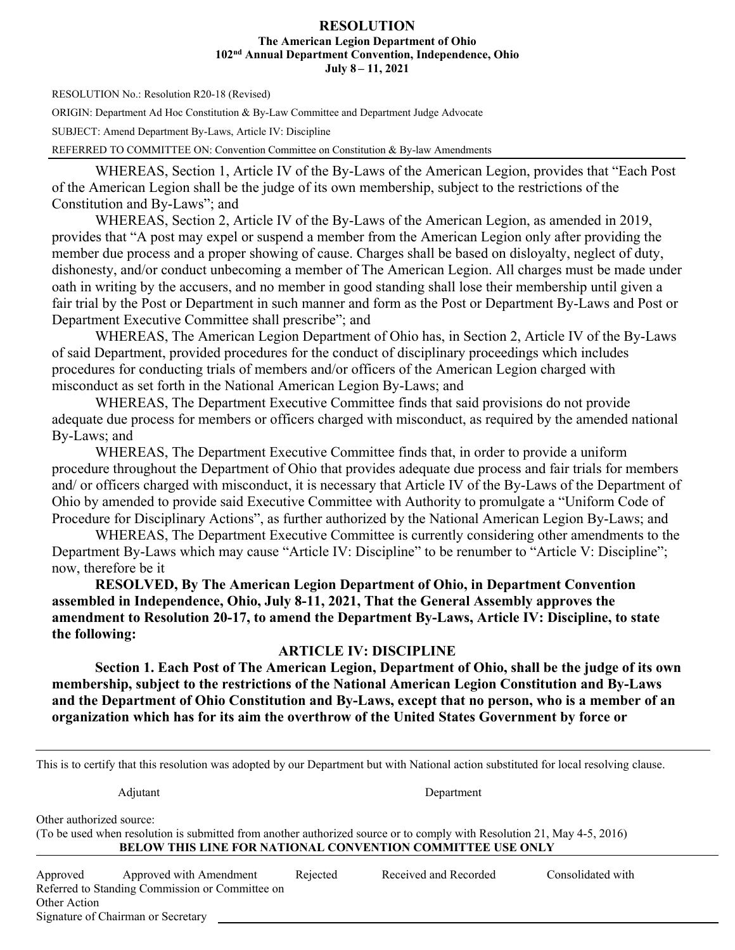#### **RESOLUTION The American Legion Department of Ohio 102nd Annual Department Convention, Independence, Ohio July 8 – 11, 2021**

RESOLUTION No.: Resolution R20-18 (Revised)

ORIGIN: Department Ad Hoc Constitution & By-Law Committee and Department Judge Advocate

SUBJECT: Amend Department By-Laws, Article IV: Discipline

REFERRED TO COMMITTEE ON: Convention Committee on Constitution & By-law Amendments

WHEREAS, Section 1, Article IV of the By-Laws of the American Legion, provides that "Each Post of the American Legion shall be the judge of its own membership, subject to the restrictions of the Constitution and By-Laws"; and

WHEREAS, Section 2, Article IV of the By-Laws of the American Legion, as amended in 2019, provides that "A post may expel or suspend a member from the American Legion only after providing the member due process and a proper showing of cause. Charges shall be based on disloyalty, neglect of duty, dishonesty, and/or conduct unbecoming a member of The American Legion. All charges must be made under oath in writing by the accusers, and no member in good standing shall lose their membership until given a fair trial by the Post or Department in such manner and form as the Post or Department By-Laws and Post or Department Executive Committee shall prescribe"; and

WHEREAS, The American Legion Department of Ohio has, in Section 2, Article IV of the By-Laws of said Department, provided procedures for the conduct of disciplinary proceedings which includes procedures for conducting trials of members and/or officers of the American Legion charged with misconduct as set forth in the National American Legion By-Laws; and

WHEREAS, The Department Executive Committee finds that said provisions do not provide adequate due process for members or officers charged with misconduct, as required by the amended national By-Laws; and

WHEREAS, The Department Executive Committee finds that, in order to provide a uniform procedure throughout the Department of Ohio that provides adequate due process and fair trials for members and/ or officers charged with misconduct, it is necessary that Article IV of the By-Laws of the Department of Ohio by amended to provide said Executive Committee with Authority to promulgate a "Uniform Code of Procedure for Disciplinary Actions", as further authorized by the National American Legion By-Laws; and

WHEREAS, The Department Executive Committee is currently considering other amendments to the Department By-Laws which may cause "Article IV: Discipline" to be renumber to "Article V: Discipline"; now, therefore be it

**RESOLVED, By The American Legion Department of Ohio, in Department Convention assembled in Independence, Ohio, July 8-11, 2021, That the General Assembly approves the amendment to Resolution 20-17, to amend the Department By-Laws, Article IV: Discipline, to state the following:**

## **ARTICLE IV: DISCIPLINE**

**Section 1. Each Post of The American Legion, Department of Ohio, shall be the judge of its own membership, subject to the restrictions of the National American Legion Constitution and By-Laws and the Department of Ohio Constitution and By-Laws, except that no person, who is a member of an organization which has for its aim the overthrow of the United States Government by force or** 

| This is to certify that this resolution was adopted by our Department but with National action substituted for local resolving clause.                                                                                   |                                                                                                                  |          |                       |                   |  |  |  |
|--------------------------------------------------------------------------------------------------------------------------------------------------------------------------------------------------------------------------|------------------------------------------------------------------------------------------------------------------|----------|-----------------------|-------------------|--|--|--|
| Adjutant<br>Department                                                                                                                                                                                                   |                                                                                                                  |          |                       |                   |  |  |  |
| Other authorized source:<br>(To be used when resolution is submitted from another authorized source or to comply with Resolution 21, May 4-5, 2016)<br><b>BELOW THIS LINE FOR NATIONAL CONVENTION COMMITTEE USE ONLY</b> |                                                                                                                  |          |                       |                   |  |  |  |
| Approved<br>Other Action                                                                                                                                                                                                 | Approved with Amendment<br>Referred to Standing Commission or Committee on<br>Signature of Chairman or Secretary | Rejected | Received and Recorded | Consolidated with |  |  |  |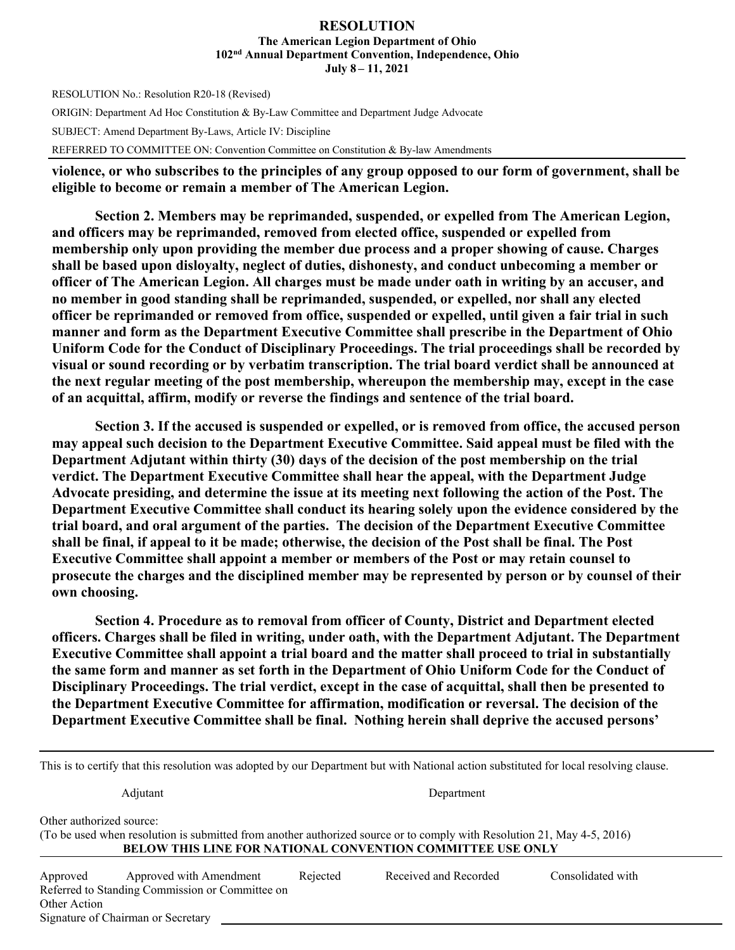#### **RESOLUTION The American Legion Department of Ohio 102nd Annual Department Convention, Independence, Ohio July 8 – 11, 2021**

RESOLUTION No.: Resolution R20-18 (Revised) ORIGIN: Department Ad Hoc Constitution & By-Law Committee and Department Judge Advocate SUBJECT: Amend Department By-Laws, Article IV: Discipline REFERRED TO COMMITTEE ON: Convention Committee on Constitution & By-law Amendments

**violence, or who subscribes to the principles of any group opposed to our form of government, shall be eligible to become or remain a member of The American Legion.** 

**Section 2. Members may be reprimanded, suspended, or expelled from The American Legion, and officers may be reprimanded, removed from elected office, suspended or expelled from membership only upon providing the member due process and a proper showing of cause. Charges shall be based upon disloyalty, neglect of duties, dishonesty, and conduct unbecoming a member or officer of The American Legion. All charges must be made under oath in writing by an accuser, and no member in good standing shall be reprimanded, suspended, or expelled, nor shall any elected officer be reprimanded or removed from office, suspended or expelled, until given a fair trial in such manner and form as the Department Executive Committee shall prescribe in the Department of Ohio Uniform Code for the Conduct of Disciplinary Proceedings. The trial proceedings shall be recorded by visual or sound recording or by verbatim transcription. The trial board verdict shall be announced at the next regular meeting of the post membership, whereupon the membership may, except in the case of an acquittal, affirm, modify or reverse the findings and sentence of the trial board.** 

**Section 3. If the accused is suspended or expelled, or is removed from office, the accused person may appeal such decision to the Department Executive Committee. Said appeal must be filed with the Department Adjutant within thirty (30) days of the decision of the post membership on the trial verdict. The Department Executive Committee shall hear the appeal, with the Department Judge Advocate presiding, and determine the issue at its meeting next following the action of the Post. The Department Executive Committee shall conduct its hearing solely upon the evidence considered by the trial board, and oral argument of the parties. The decision of the Department Executive Committee shall be final, if appeal to it be made; otherwise, the decision of the Post shall be final. The Post Executive Committee shall appoint a member or members of the Post or may retain counsel to prosecute the charges and the disciplined member may be represented by person or by counsel of their own choosing.** 

**Section 4. Procedure as to removal from officer of County, District and Department elected officers. Charges shall be filed in writing, under oath, with the Department Adjutant. The Department Executive Committee shall appoint a trial board and the matter shall proceed to trial in substantially the same form and manner as set forth in the Department of Ohio Uniform Code for the Conduct of Disciplinary Proceedings. The trial verdict, except in the case of acquittal, shall then be presented to the Department Executive Committee for affirmation, modification or reversal. The decision of the Department Executive Committee shall be final. Nothing herein shall deprive the accused persons'** 

| This is to certify that this resolution was adopted by our Department but with National action substituted for local resolving clause. |                                                                                                                         |          |                                                                   |                   |  |  |
|----------------------------------------------------------------------------------------------------------------------------------------|-------------------------------------------------------------------------------------------------------------------------|----------|-------------------------------------------------------------------|-------------------|--|--|
|                                                                                                                                        | Adjutant                                                                                                                |          | Department                                                        |                   |  |  |
| Other authorized source:                                                                                                               | (To be used when resolution is submitted from another authorized source or to comply with Resolution 21, May 4-5, 2016) |          | <b>BELOW THIS LINE FOR NATIONAL CONVENTION COMMITTEE USE ONLY</b> |                   |  |  |
| Approved<br>Other Action                                                                                                               | Approved with Amendment<br>Referred to Standing Commission or Committee on<br>Signature of Chairman or Secretary        | Rejected | Received and Recorded                                             | Consolidated with |  |  |